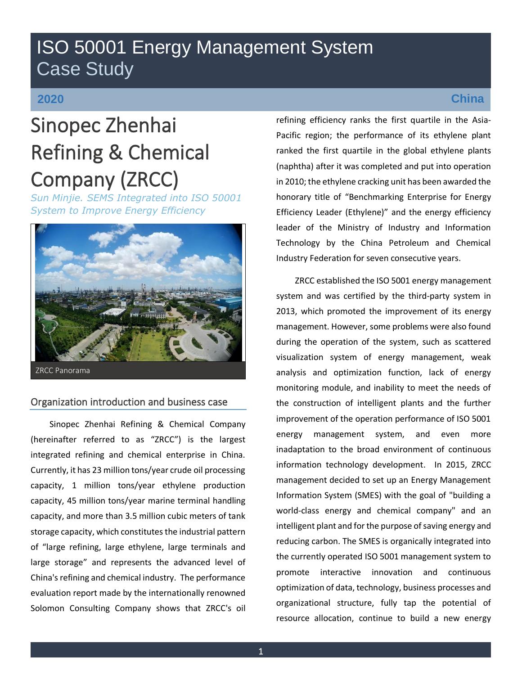# ISO 50001 Energy Management System Case Study

# **2020**

# Sinopec Zhenhai Refining & Chemical Company (ZRCC)

*Sun Minjie. SEMS Integrated into ISO 50001 System to Improve Energy Efficiency*



## Organization introduction and business case

Sinopec Zhenhai Refining & Chemical Company (hereinafter referred to as "ZRCC") is the largest integrated refining and chemical enterprise in China. Currently, it has 23 million tons/year crude oil processing capacity, 1 million tons/year ethylene production capacity, 45 million tons/year marine terminal handling capacity, and more than 3.5 million cubic meters of tank storage capacity, which constitutes the industrial pattern of "large refining, large ethylene, large terminals and large storage" and represents the advanced level of China's refining and chemical industry. The performance evaluation report made by the internationally renowned Solomon Consulting Company shows that ZRCC's oil

## **China**

refining efficiency ranks the first quartile in the Asia-Pacific region; the performance of its ethylene plant ranked the first quartile in the global ethylene plants (naphtha) after it was completed and put into operation in 2010; the ethylene cracking unit has been awarded the honorary title of "Benchmarking Enterprise for Energy Efficiency Leader (Ethylene)" and the energy efficiency leader of the Ministry of Industry and Information Technology by the China Petroleum and Chemical Industry Federation for seven consecutive years.

ZRCC established the ISO 5001 energy management system and was certified by the third-party system in 2013, which promoted the improvement of its energy management. However, some problems were also found during the operation of the system, such as scattered visualization system of energy management, weak analysis and optimization function, lack of energy monitoring module, and inability to meet the needs of the construction of intelligent plants and the further improvement of the operation performance of ISO 5001 energy management system, and even more inadaptation to the broad environment of continuous information technology development. In 2015, ZRCC management decided to set up an Energy Management Information System (SMES) with the goal of "building a world-class energy and chemical company" and an intelligent plant and for the purpose of saving energy and reducing carbon. The SMES is organically integrated into the currently operated ISO 5001 management system to promote interactive innovation and continuous optimization of data, technology, business processes and organizational structure, fully tap the potential of resource allocation, continue to build a new energy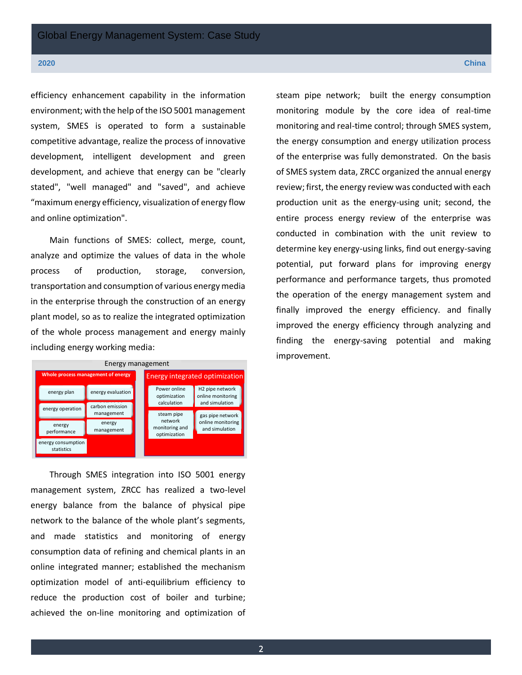#### **2020 China**

efficiency enhancement capability in the information environment; with the help of the ISO 5001 management system, SMES is operated to form a sustainable competitive advantage, realize the process of innovative development, intelligent development and green development, and achieve that energy can be "clearly stated", "well managed" and "saved", and achieve "maximum energy efficiency, visualization of energy flow and online optimization".

Main functions of SMES: collect, merge, count, analyze and optimize the values of data in the whole process of production, storage, conversion, transportation and consumption of various energy media in the enterprise through the construction of an energy plant model, so as to realize the integrated optimization of the whole process management and energy mainly including energy working media:



Through SMES integration into ISO 5001 energy management system, ZRCC has realized a two-level energy balance from the balance of physical pipe network to the balance of the whole plant's segments, and made statistics and monitoring of energy consumption data of refining and chemical plants in an online integrated manner; established the mechanism optimization model of anti-equilibrium efficiency to reduce the production cost of boiler and turbine; achieved the on-line monitoring and optimization of steam pipe network; built the energy consumption monitoring module by the core idea of real-time monitoring and real-time control; through SMES system, the energy consumption and energy utilization process of the enterprise was fully demonstrated. On the basis of SMES system data, ZRCC organized the annual energy review; first, the energy review was conducted with each production unit as the energy-using unit; second, the entire process energy review of the enterprise was conducted in combination with the unit review to determine key energy-using links, find out energy-saving potential, put forward plans for improving energy performance and performance targets, thus promoted the operation of the energy management system and finally improved the energy efficiency. and finally improved the energy efficiency through analyzing and finding the energy-saving potential and making improvement.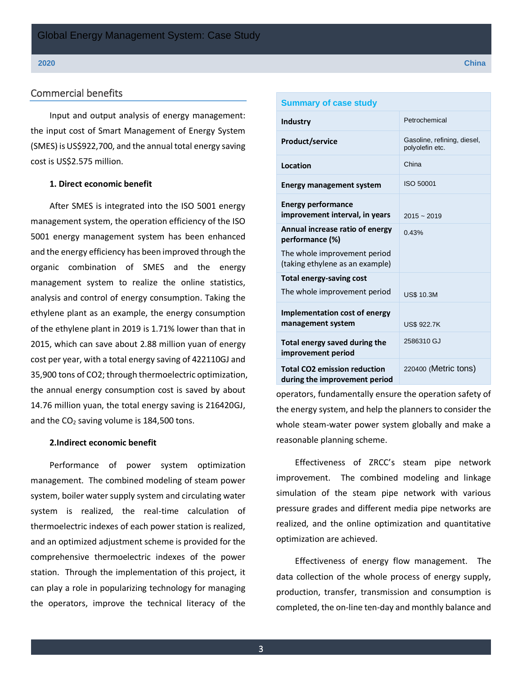### Commercial benefits

Input and output analysis of energy management: the input cost of Smart Management of Energy System (SMES) is US\$922,700, and the annual total energy saving cost is US\$2.575 million.

### **1. Direct economic benefit**

After SMES is integrated into the ISO 5001 energy management system, the operation efficiency of the ISO 5001 energy management system has been enhanced and the energy efficiency has been improved through the organic combination of SMES and the energy management system to realize the online statistics, analysis and control of energy consumption. Taking the ethylene plant as an example, the energy consumption of the ethylene plant in 2019 is 1.71% lower than that in 2015, which can save about 2.88 million yuan of energy cost per year, with a total energy saving of 422110GJ and 35,900 tons of CO2; through thermoelectric optimization, the annual energy consumption cost is saved by about 14.76 million yuan, the total energy saving is 216420GJ, and the CO<sub>2</sub> saving volume is 184,500 tons.

#### **2.Indirect economic benefit**

Performance of power system optimization management. The combined modeling of steam power system, boiler water supply system and circulating water system is realized, the real-time calculation of thermoelectric indexes of each power station is realized, and an optimized adjustment scheme is provided for the comprehensive thermoelectric indexes of the power station. Through the implementation of this project, it can play a role in popularizing technology for managing the operators, improve the technical literacy of the

| <b>Summary of case study</b>                                         |                                                |  |
|----------------------------------------------------------------------|------------------------------------------------|--|
| Industry                                                             | Petrochemical                                  |  |
| <b>Product/service</b>                                               | Gasoline, refining, diesel,<br>polyolefin etc. |  |
| Location                                                             | China                                          |  |
| <b>Energy management system</b>                                      | <b>ISO 50001</b>                               |  |
| <b>Energy performance</b><br>improvement interval, in years          | $2015 - 2019$                                  |  |
| Annual increase ratio of energy<br>performance (%)                   | 0.43%                                          |  |
| The whole improvement period<br>(taking ethylene as an example)      |                                                |  |
| <b>Total energy-saving cost</b>                                      |                                                |  |
| The whole improvement period                                         | <b>US\$ 10.3M</b>                              |  |
| <b>Implementation cost of energy</b><br>management system            | <b>US\$ 922.7K</b>                             |  |
| Total energy saved during the<br>improvement period                  | 2586310 GJ                                     |  |
| <b>Total CO2 emission reduction</b><br>during the improvement period | 220400 (Metric tons)                           |  |

operators, fundamentally ensure the operation safety of the energy system, and help the planners to consider the whole steam-water power system globally and make a reasonable planning scheme.

Effectiveness of ZRCC's steam pipe network improvement. The combined modeling and linkage simulation of the steam pipe network with various pressure grades and different media pipe networks are realized, and the online optimization and quantitative optimization are achieved.

Effectiveness of energy flow management. The data collection of the whole process of energy supply, production, transfer, transmission and consumption is completed, the on-line ten-day and monthly balance and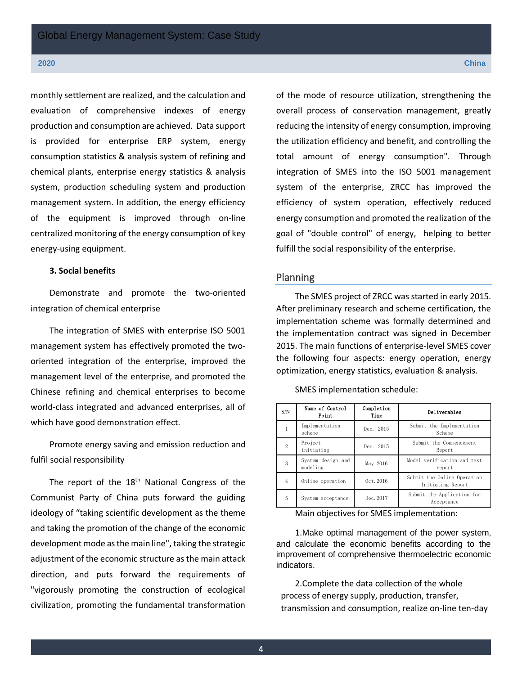#### **2020 China**

monthly settlement are realized, and the calculation and evaluation of comprehensive indexes of energy production and consumption are achieved. Data support is provided for enterprise ERP system, energy consumption statistics & analysis system of refining and chemical plants, enterprise energy statistics & analysis system, production scheduling system and production management system. In addition, the energy efficiency of the equipment is improved through on-line centralized monitoring of the energy consumption of key energy-using equipment.

#### **3. Social benefits**

Demonstrate and promote the two-oriented integration of chemical enterprise

The integration of SMES with enterprise ISO 5001 management system has effectively promoted the twooriented integration of the enterprise, improved the management level of the enterprise, and promoted the Chinese refining and chemical enterprises to become world-class integrated and advanced enterprises, all of which have good demonstration effect.

Promote energy saving and emission reduction and fulfil social responsibility

The report of the  $18<sup>th</sup>$  National Congress of the Communist Party of China puts forward the guiding ideology of "taking scientific development as the theme and taking the promotion of the change of the economic development mode as the main line", taking the strategic adjustment of the economic structure as the main attack direction, and puts forward the requirements of "vigorously promoting the construction of ecological civilization, promoting the fundamental transformation

of the mode of resource utilization, strengthening the overall process of conservation management, greatly reducing the intensity of energy consumption, improving the utilization efficiency and benefit, and controlling the total amount of energy consumption". Through integration of SMES into the ISO 5001 management system of the enterprise, ZRCC has improved the efficiency of system operation, effectively reduced energy consumption and promoted the realization of the goal of "double control" of energy, helping to better fulfill the social responsibility of the enterprise.

#### Planning

The SMES project of ZRCC was started in early 2015. After preliminary research and scheme certification, the implementation scheme was formally determined and the implementation contract was signed in December 2015. The main functions of enterprise-level SMES cover the following four aspects: energy operation, energy optimization, energy statistics, evaluation & analysis.

| S/N    | Name of Control<br>Point      | Completion<br>Time | Deliverables                                     |
|--------|-------------------------------|--------------------|--------------------------------------------------|
|        | Implementation<br>scheme      | Dec. 2015          | Submit the Implementation<br>Scheme              |
| $^{2}$ | Project<br>initiating         | Dec. 2015          | Submit the Commencement<br>Report                |
| 3      | System design and<br>modeling | May 2016           | Model verification and test<br>report            |
| 4      | Online operation              | $0c$ t. 2016       | Submit the Online Operation<br>Initiating Report |
| 5      | System acceptance             | Dec. 2017          | Submit the Application for<br>Acceptance         |

SMES implementation schedule:

Main objectives for SMES implementation:

1.Make optimal management of the power system, and calculate the economic benefits according to the improvement of comprehensive thermoelectric economic indicators.

2.Complete the data collection of the whole process of energy supply, production, transfer, transmission and consumption, realize on-line ten-day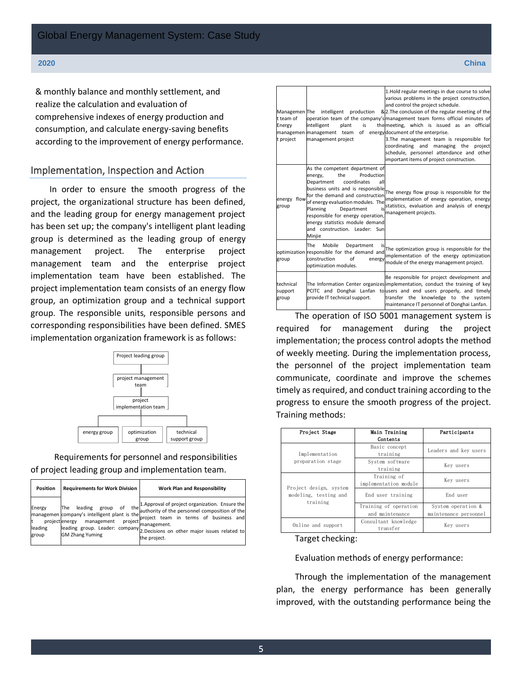& monthly balance and monthly settlement, and realize the calculation and evaluation of comprehensive indexes of energy production and consumption, and calculate energy-saving benefits according to the improvement of energy performance.

### Implementation, Inspection and Action

In order to ensure the smooth progress of the project, the organizational structure has been defined, and the leading group for energy management project has been set up; the company's intelligent plant leading group is determined as the leading group of energy management project. The enterprise project management team and the enterprise project implementation team have been established. The project implementation team consists of an energy flow group, an optimization group and a technical support group. The responsible units, responsible persons and corresponding responsibilities have been defined. SMES implementation organization framework is as follows:



### Requirements for personnel and responsibilities of project leading group and implementation team.

| <b>Position</b>  | <b>Requirements for Work Division</b>                             | <b>Work Plan and Responsibility</b>                                                                                                                                                                                                                                                                                  |
|------------------|-------------------------------------------------------------------|----------------------------------------------------------------------------------------------------------------------------------------------------------------------------------------------------------------------------------------------------------------------------------------------------------------------|
| leading<br>group | project energy<br>management<br>project<br><b>GM Zhang Yuming</b> | the <sup>1</sup> . Approval of project organization. Ensure the<br>managemen company's intelligent plant is the authority of the personnel composition of the<br>project team in terms of business and<br>management.<br>leading group. Leader: company 2.Decisions on other major issues related to<br>the project. |

| Managemen The<br>t team of<br>Energy<br>t project | intelligent<br>production<br>is<br>intelligent<br>plant<br>managemen management team<br>management project                                                                                                                                                                                                                                                         | 1. Hold regular meetings in due course to solve<br>various problems in the project construction,<br>and control the project schedule.<br>& 2. The conclusion of the regular meeting of the<br>operation team of the company's management team forms official minutes of<br>the meeting, which is issued as an official<br>of energy document of the enterprise.<br>3. The management team is responsible for<br>coordinating and managing the project<br>schedule, personnel attendance and other<br>important items of project construction. |
|---------------------------------------------------|--------------------------------------------------------------------------------------------------------------------------------------------------------------------------------------------------------------------------------------------------------------------------------------------------------------------------------------------------------------------|-----------------------------------------------------------------------------------------------------------------------------------------------------------------------------------------------------------------------------------------------------------------------------------------------------------------------------------------------------------------------------------------------------------------------------------------------------------------------------------------------------------------------------------------------|
| energy flow<br>group                              | As the competent department of<br>Production<br>the<br>energy,<br>coordinates<br>all<br>Department<br>business units and is responsible<br>for the demand and construction<br>of energy evaluation modules. The<br>is<br>Planning<br>Department<br>responsible for energy operation,<br>energy statistics module demand<br>and construction. Leader: Sun<br>Minjie | The energy flow group is responsible for the<br>implementation of energy operation, energy<br>statistics, evaluation and analysis of energy<br>management projects.                                                                                                                                                                                                                                                                                                                                                                           |
| group                                             | The<br>Mobile<br>Department<br>is<br>optimization responsible for the demand and<br>of<br>construction<br>energy<br>optimization modules.                                                                                                                                                                                                                          | The optimization group is responsible for the<br>implementation of the energy optimization<br>module of the energy management project.                                                                                                                                                                                                                                                                                                                                                                                                        |
| technical<br>support<br>group                     | provide IT technical support.                                                                                                                                                                                                                                                                                                                                      | Be responsible for project development and<br>The Information Center organizes implementation, conduct the training of key<br>PCITC and Donghai Lanfan to users and end users properly, and timely<br>transfer the knowledge to the system<br>maintenance IT personnel of Donghai Lanfan.                                                                                                                                                                                                                                                     |

The operation of ISO 5001 management system is required for management during the project implementation; the process control adopts the method of weekly meeting. During the implementation process, the personnel of the project implementation team communicate, coordinate and improve the schemes timely as required, and conduct training according to the progress to ensure the smooth progress of the project. Training methods:

| Project Stage                                               | Main Training<br>Contents                | Participants                                |
|-------------------------------------------------------------|------------------------------------------|---------------------------------------------|
| Implementation                                              | Basic concept<br>training                | Leaders and key users                       |
| preparation stage                                           | System software<br>training              | Key users                                   |
| Project design, system<br>modeling, testing and<br>training | Training of<br>implementation module     | Kev users                                   |
|                                                             | End user training                        | End user                                    |
|                                                             | Training of operation<br>and maintenance | System operation &<br>maintenance personnel |
| Online and support                                          | Consultant knowledge<br>transfer         | Kev users                                   |

Target checking:

#### Evaluation methods of energy performance:

Through the implementation of the management plan, the energy performance has been generally improved, with the outstanding performance being the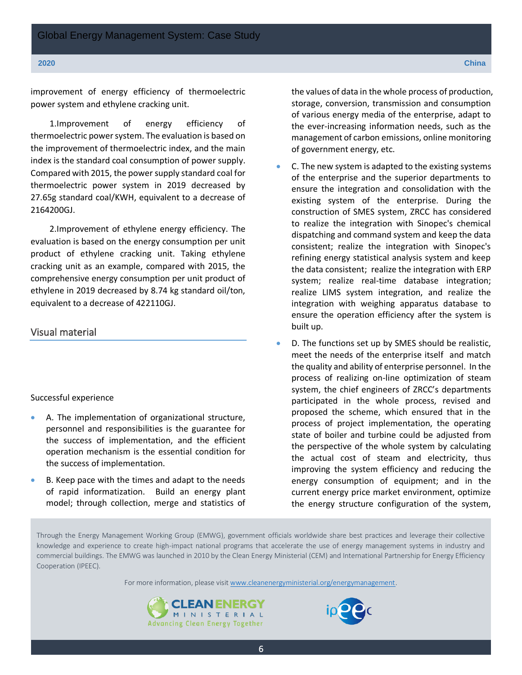improvement of energy efficiency of thermoelectric power system and ethylene cracking unit.

1.Improvement of energy efficiency of thermoelectric power system. The evaluation is based on the improvement of thermoelectric index, and the main index is the standard coal consumption of power supply. Compared with 2015, the power supply standard coal for thermoelectric power system in 2019 decreased by 27.65g standard coal/KWH, equivalent to a decrease of 2164200GJ.

2.Improvement of ethylene energy efficiency. The evaluation is based on the energy consumption per unit product of ethylene cracking unit. Taking ethylene cracking unit as an example, compared with 2015, the comprehensive energy consumption per unit product of ethylene in 2019 decreased by 8.74 kg standard oil/ton, equivalent to a decrease of 422110GJ.

#### Visual material

#### Successful experience

- A. The implementation of organizational structure, personnel and responsibilities is the guarantee for the success of implementation, and the efficient operation mechanism is the essential condition for the success of implementation.
- B. Keep pace with the times and adapt to the needs of rapid informatization. Build an energy plant model; through collection, merge and statistics of

the values of data in the whole process of production, storage, conversion, transmission and consumption of various energy media of the enterprise, adapt to the ever-increasing information needs, such as the management of carbon emissions, online monitoring of government energy, etc.

- C. The new system is adapted to the existing systems of the enterprise and the superior departments to ensure the integration and consolidation with the existing system of the enterprise. During the construction of SMES system, ZRCC has considered to realize the integration with Sinopec's chemical dispatching and command system and keep the data consistent; realize the integration with Sinopec's refining energy statistical analysis system and keep the data consistent; realize the integration with ERP system; realize real-time database integration; realize LIMS system integration, and realize the integration with weighing apparatus database to ensure the operation efficiency after the system is built up.
- D. The functions set up by SMES should be realistic, meet the needs of the enterprise itself and match the quality and ability of enterprise personnel. In the process of realizing on-line optimization of steam system, the chief engineers of ZRCC's departments participated in the whole process, revised and proposed the scheme, which ensured that in the process of project implementation, the operating state of boiler and turbine could be adjusted from the perspective of the whole system by calculating the actual cost of steam and electricity, thus improving the system efficiency and reducing the energy consumption of equipment; and in the current energy price market environment, optimize the energy structure configuration of the system,

Through the Energy Management Working Group (EMWG), government officials worldwide share best practices and leverage their collective knowledge and experience to create high-impact national programs that accelerate the use of energy management systems in industry and commercial buildings. The EMWG was launched in 2010 by the Clean Energy Ministerial (CEM) and International Partnership for Energy Efficiency Cooperation (IPEEC).

For more information, please visit [www.cleanenergyministerial.org/energymanagement.](http://www.cleanenergyministerial.org/energymanagement)